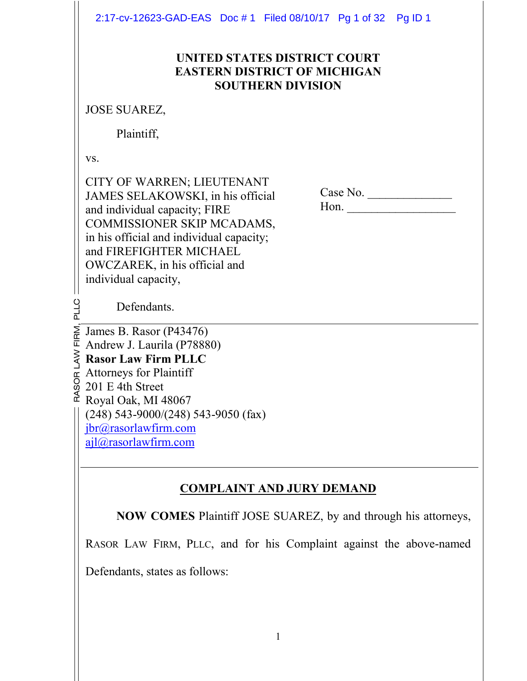2:17-cv-12623-GAD-EAS Doc # 1 Filed 08/10/17 Pg 1 of 32 Pg ID 1

### **UNITED STATES DISTRICT COURT EASTERN DISTRICT OF MICHIGAN SOUTHERN DIVISION**

JOSE SUAREZ,

Plaintiff,

vs.

LLC

CITY OF WARREN; LIEUTENANT JAMES SELAKOWSKI, in his official and individual capacity; FIRE COMMISSIONER SKIP MCADAMS, in his official and individual capacity; and FIREFIGHTER MICHAEL OWCZAREK, in his official and individual capacity,

 Case No. \_\_\_\_\_\_\_\_\_\_\_\_\_\_ Hon.

Defendants.

 $\mathbf{r}$  $\mathbb{E}$  Royal Oak, MI 48067  $\mathfrak o$  . o, rg. L A W **Rasor Law Firm PLLC**  E<br>E  $\sum_{R}$  James B. Rasor (P43476) Andrew J. Laurila (P78880) Attorneys for Plaintiff 201 E 4th Street (248) 543-9000/(248) 543-9050 (fax) jbr@rasorlawfirm.com ajl@rasorlawfirm.com

# **COMPLAINT AND JURY DEMAND**

**NOW COMES** Plaintiff JOSE SUAREZ, by and through his attorneys,

RASOR LAW FIRM, PLLC, and for his Complaint against the above-named

Defendants, states as follows: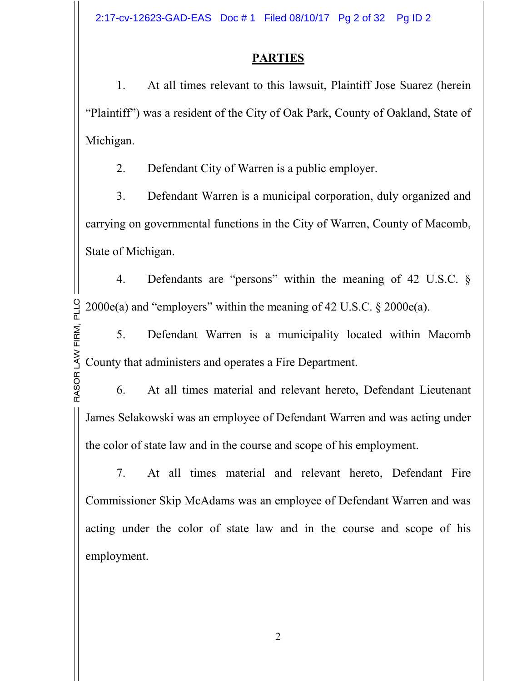2:17-cv-12623-GAD-EAS Doc # 1 Filed 08/10/17 Pg 2 of 32 Pg ID 2

# **PARTIES**

1. At all times relevant to this lawsuit, Plaintiff Jose Suarez (herein "Plaintiff") was a resident of the City of Oak Park, County of Oakland, State of Michigan.

2. Defendant City of Warren is a public employer.

3. Defendant Warren is a municipal corporation, duly organized and carrying on governmental functions in the City of Warren, County of Macomb, State of Michigan.

M, P LLC $2000e(a)$  and "employers" within the meaning of 42 U.S.C. § 2000 $e(a)$ . 4. Defendants are "persons" within the meaning of 42 U.S.C. §

LA W County that administers and operates a Fire Department. E<br>E 5. Defendant Warren is a municipality located within Macomb

RA SOR6. At all times material and relevant hereto, Defendant Lieutenant James Selakowski was an employee of Defendant Warren and was acting under the color of state law and in the course and scope of his employment.

7. At all times material and relevant hereto, Defendant Fire Commissioner Skip McAdams was an employee of Defendant Warren and was acting under the color of state law and in the course and scope of his employment.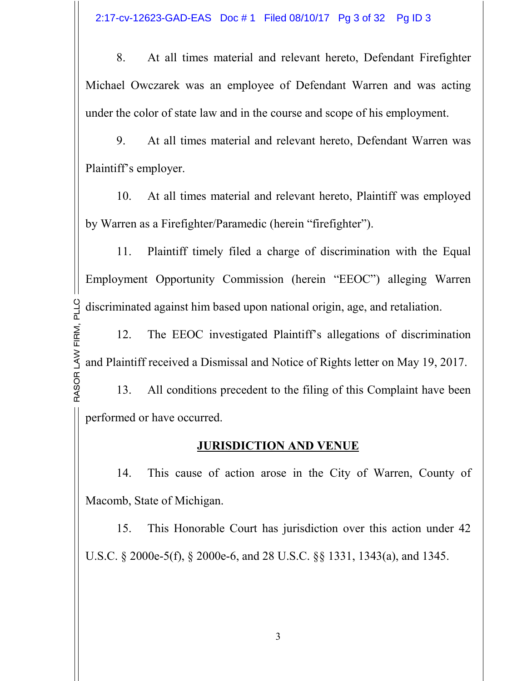8. At all times material and relevant hereto, Defendant Firefighter Michael Owczarek was an employee of Defendant Warren and was acting under the color of state law and in the course and scope of his employment.

9. At all times material and relevant hereto, Defendant Warren was Plaintiff's employer.

10. At all times material and relevant hereto, Plaintiff was employed by Warren as a Firefighter/Paramedic (herein "firefighter").

M, P LLC discriminated against him based upon national origin, age, and retaliation. 11. Plaintiff timely filed a charge of discrimination with the Equal Employment Opportunity Commission (herein "EEOC") alleging Warren

LA W and Plaintiff received a Dismissal and Notice of Rights letter on May 19, 2017. E<br>E 12. The EEOC investigated Plaintiff's allegations of discrimination

RA SOR13. All conditions precedent to the filing of this Complaint have been performed or have occurred.

## **JURISDICTION AND VENUE**

14. This cause of action arose in the City of Warren, County of Macomb, State of Michigan.

15. This Honorable Court has jurisdiction over this action under 42 U.S.C. § 2000e-5(f), § 2000e-6, and 28 U.S.C. §§ 1331, 1343(a), and 1345.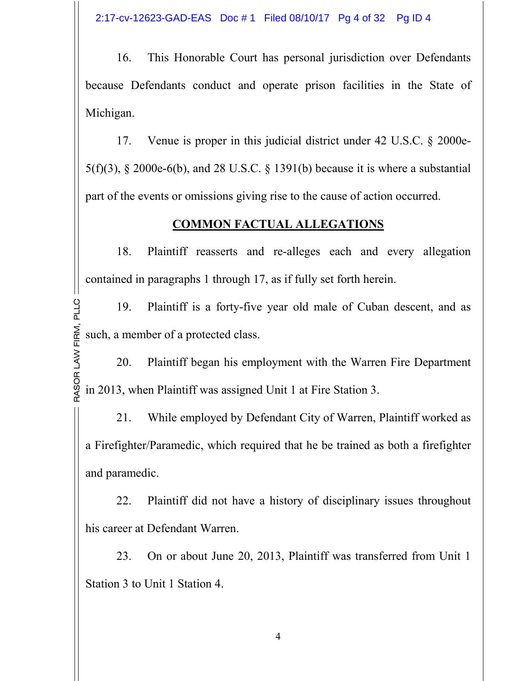2:17-cv-12623-GAD-EAS Doc # 1 Filed 08/10/17 Pg 4 of 32 Pg ID 4

16. This Honorable Court has personal jurisdiction over Defendants because Defendants conduct and operate prison facilities in the State of Michigan.

17. Venue is proper in this judicial district under 42 U.S.C. § 2000e-5(f)(3),  $\S$  2000e-6(b), and 28 U.S.C.  $\S$  1391(b) because it is where a substantial part of the events or omissions giving rise to the cause of action occurred.

## **COMMON FACTUAL ALLEGATIONS**

18. Plaintiff reasserts and re-alleges each and every allegation contained in paragraphs 1 through 17, as if fully set forth herein.

E<br>E M, P LLC19. Plaintiff is a forty-five year old male of Cuban descent, and as such, a member of a protected class.

RA SOR in 2013, when Plaintiff was assigned Unit 1 at Fire Station 3. LA W20. Plaintiff began his employment with the Warren Fire Department

21. While employed by Defendant City of Warren, Plaintiff worked as a Firefighter/Paramedic, which required that he be trained as both a firefighter and paramedic.

22. Plaintiff did not have a history of disciplinary issues throughout his career at Defendant Warren.

23. On or about June 20, 2013, Plaintiff was transferred from Unit 1 Station 3 to Unit 1 Station 4.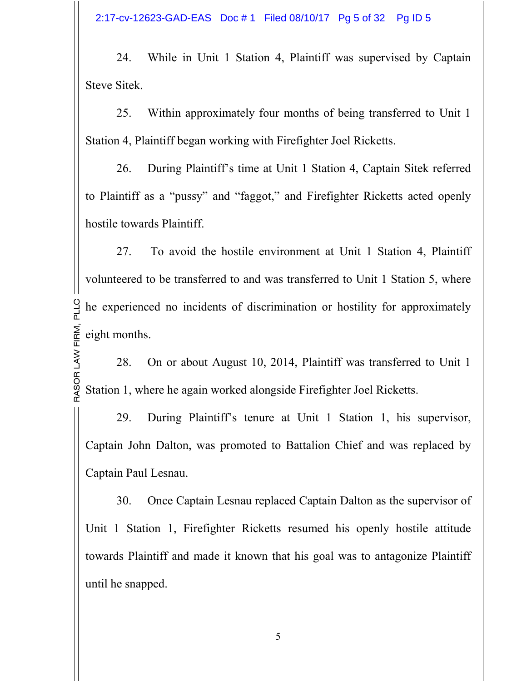2:17-cv-12623-GAD-EAS Doc # 1 Filed 08/10/17 Pg 5 of 32 Pg ID 5

24. While in Unit 1 Station 4, Plaintiff was supervised by Captain Steve Sitek.

25. Within approximately four months of being transferred to Unit 1 Station 4, Plaintiff began working with Firefighter Joel Ricketts.

26. During Plaintiff's time at Unit 1 Station 4, Captain Sitek referred to Plaintiff as a "pussy" and "faggot," and Firefighter Ricketts acted openly hostile towards Plaintiff.

E<br>E M, P LLC he experienced no incidents of discrimination or hostility for approximately 27. To avoid the hostile environment at Unit 1 Station 4, Plaintiff volunteered to be transferred to and was transferred to Unit 1 Station 5, where eight months.

RA SOR Station 1, where he again worked alongside Firefighter Joel Ricketts. LA W28. On or about August 10, 2014, Plaintiff was transferred to Unit 1

29. During Plaintiff's tenure at Unit 1 Station 1, his supervisor, Captain John Dalton, was promoted to Battalion Chief and was replaced by Captain Paul Lesnau.

30. Once Captain Lesnau replaced Captain Dalton as the supervisor of Unit 1 Station 1, Firefighter Ricketts resumed his openly hostile attitude towards Plaintiff and made it known that his goal was to antagonize Plaintiff until he snapped.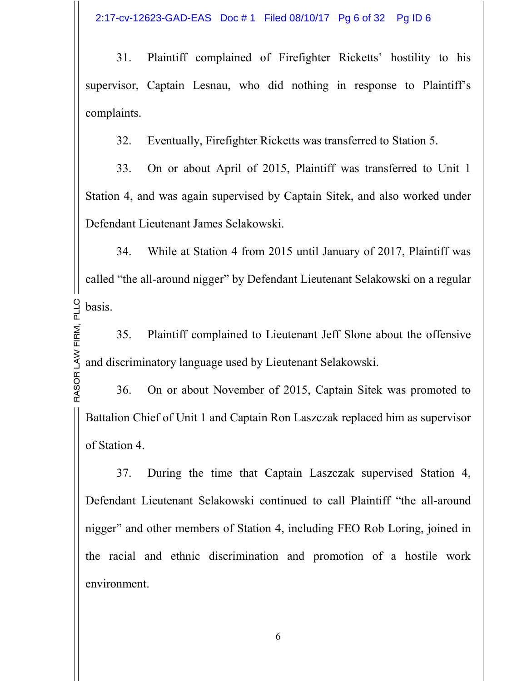2:17-cv-12623-GAD-EAS Doc # 1 Filed 08/10/17 Pg 6 of 32 Pg ID 6

31. Plaintiff complained of Firefighter Ricketts' hostility to his supervisor, Captain Lesnau, who did nothing in response to Plaintiff's complaints.

32. Eventually, Firefighter Ricketts was transferred to Station 5.

33. On or about April of 2015, Plaintiff was transferred to Unit 1 Station 4, and was again supervised by Captain Sitek, and also worked under Defendant Lieutenant James Selakowski.

M, P LLC basis. 34. While at Station 4 from 2015 until January of 2017, Plaintiff was called "the all-around nigger" by Defendant Lieutenant Selakowski on a regular

LA W and discriminatory language used by Lieutenant Selakowski. E<br>E 35. Plaintiff complained to Lieutenant Jeff Slone about the offensive

RA SOR36. On or about November of 2015, Captain Sitek was promoted to Battalion Chief of Unit 1 and Captain Ron Laszczak replaced him as supervisor of Station 4.

37. During the time that Captain Laszczak supervised Station 4, Defendant Lieutenant Selakowski continued to call Plaintiff "the all-around nigger" and other members of Station 4, including FEO Rob Loring, joined in the racial and ethnic discrimination and promotion of a hostile work environment.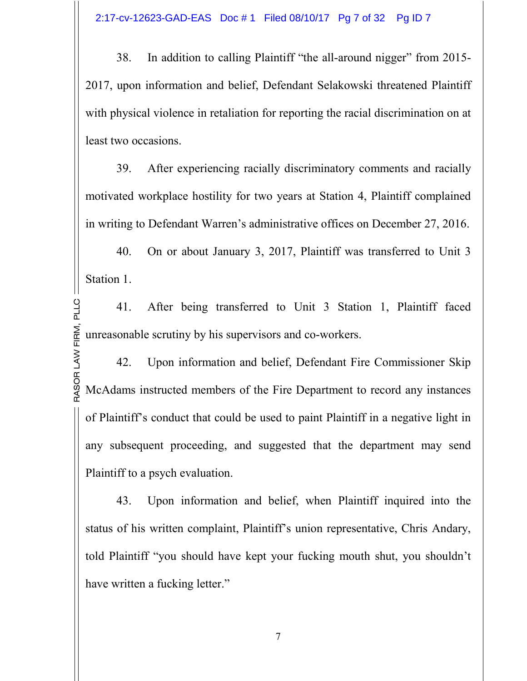38. In addition to calling Plaintiff "the all-around nigger" from 2015- 2017, upon information and belief, Defendant Selakowski threatened Plaintiff with physical violence in retaliation for reporting the racial discrimination on at least two occasions.

39. After experiencing racially discriminatory comments and racially motivated workplace hostility for two years at Station 4, Plaintiff complained in writing to Defendant Warren's administrative offices on December 27, 2016.

40. On or about January 3, 2017, Plaintiff was transferred to Unit 3 Station 1.

E<br>E n<br>≥ົ LLC41. After being transferred to Unit 3 Station 1, Plaintiff faced unreasonable scrutiny by his supervisors and co-workers.

RA SOR McAdams instructed members of the Fire Department to record any instances LA W42. Upon information and belief, Defendant Fire Commissioner Skip of Plaintiff's conduct that could be used to paint Plaintiff in a negative light in any subsequent proceeding, and suggested that the department may send Plaintiff to a psych evaluation.

43. Upon information and belief, when Plaintiff inquired into the status of his written complaint, Plaintiff's union representative, Chris Andary, told Plaintiff "you should have kept your fucking mouth shut, you shouldn't have written a fucking letter."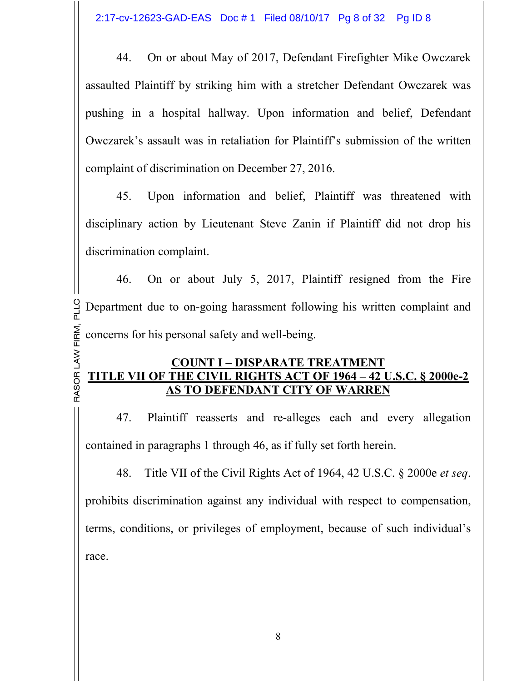44. On or about May of 2017, Defendant Firefighter Mike Owczarek assaulted Plaintiff by striking him with a stretcher Defendant Owczarek was pushing in a hospital hallway. Upon information and belief, Defendant Owczarek's assault was in retaliation for Plaintiff's submission of the written complaint of discrimination on December 27, 2016.

45. Upon information and belief, Plaintiff was threatened with disciplinary action by Lieutenant Steve Zanin if Plaintiff did not drop his discrimination complaint.

E<br>E n<br>≥ົ LLC Department due to on-going harassment following his written complaint and 46. On or about July 5, 2017, Plaintiff resigned from the Fire concerns for his personal safety and well-being.

#### RA SOR **TITLE VII OF THE CIVIL RIGHTS ACT OF 1964 – 42 U.S.C. § 2000e-2**  LA W**COUNT I – DISPARATE TREATMENT AS TO DEFENDANT CITY OF WARREN**

47. Plaintiff reasserts and re-alleges each and every allegation contained in paragraphs 1 through 46, as if fully set forth herein.

48. Title VII of the Civil Rights Act of 1964, 42 U.S.C. § 2000e *et seq*. prohibits discrimination against any individual with respect to compensation, terms, conditions, or privileges of employment, because of such individual's race.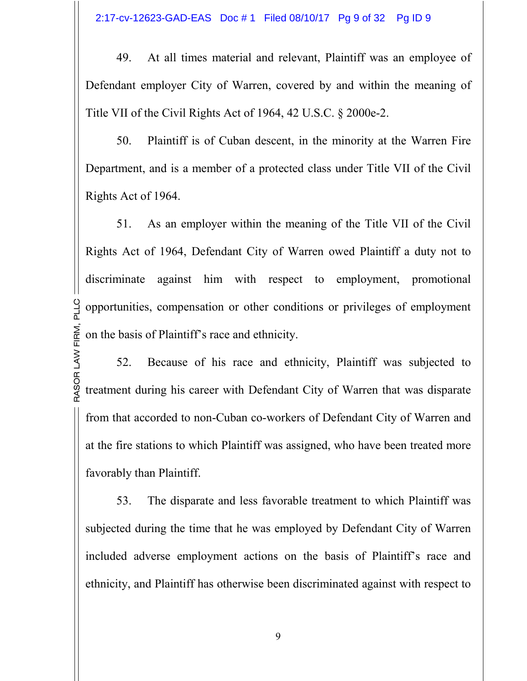49. At all times material and relevant, Plaintiff was an employee of Defendant employer City of Warren, covered by and within the meaning of Title VII of the Civil Rights Act of 1964, 42 U.S.C. § 2000e-2.

50. Plaintiff is of Cuban descent, in the minority at the Warren Fire Department, and is a member of a protected class under Title VII of the Civil Rights Act of 1964.

E<br>E n<br>≥ົ opportunities, compensation or other conditions or privileges of employment 51. As an employer within the meaning of the Title VII of the Civil Rights Act of 1964, Defendant City of Warren owed Plaintiff a duty not to discriminate against him with respect to employment, promotional on the basis of Plaintiff's race and ethnicity.

LLC

RA SOR treatment during his career with Defendant City of Warren that was disparate LA W52. Because of his race and ethnicity, Plaintiff was subjected to from that accorded to non-Cuban co-workers of Defendant City of Warren and at the fire stations to which Plaintiff was assigned, who have been treated more favorably than Plaintiff.

53. The disparate and less favorable treatment to which Plaintiff was subjected during the time that he was employed by Defendant City of Warren included adverse employment actions on the basis of Plaintiff's race and ethnicity, and Plaintiff has otherwise been discriminated against with respect to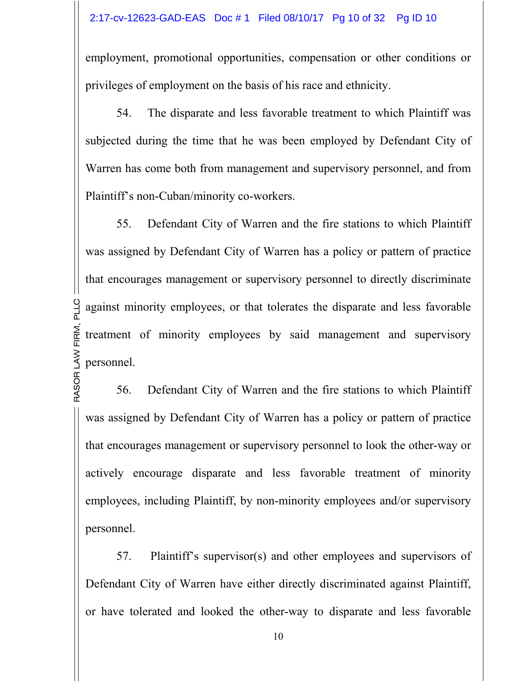employment, promotional opportunities, compensation or other conditions or privileges of employment on the basis of his race and ethnicity.

54. The disparate and less favorable treatment to which Plaintiff was subjected during the time that he was been employed by Defendant City of Warren has come both from management and supervisory personnel, and from Plaintiff's non-Cuban/minority co-workers.

LA W personnel. E<br>E n<br>≥ົ against minority employees, or that tolerates the disparate and less favorable 55. Defendant City of Warren and the fire stations to which Plaintiff was assigned by Defendant City of Warren has a policy or pattern of practice that encourages management or supervisory personnel to directly discriminate treatment of minority employees by said management and supervisory

LLC

RA SOR56. Defendant City of Warren and the fire stations to which Plaintiff was assigned by Defendant City of Warren has a policy or pattern of practice that encourages management or supervisory personnel to look the other-way or actively encourage disparate and less favorable treatment of minority employees, including Plaintiff, by non-minority employees and/or supervisory personnel.

57. Plaintiff's supervisor(s) and other employees and supervisors of Defendant City of Warren have either directly discriminated against Plaintiff, or have tolerated and looked the other-way to disparate and less favorable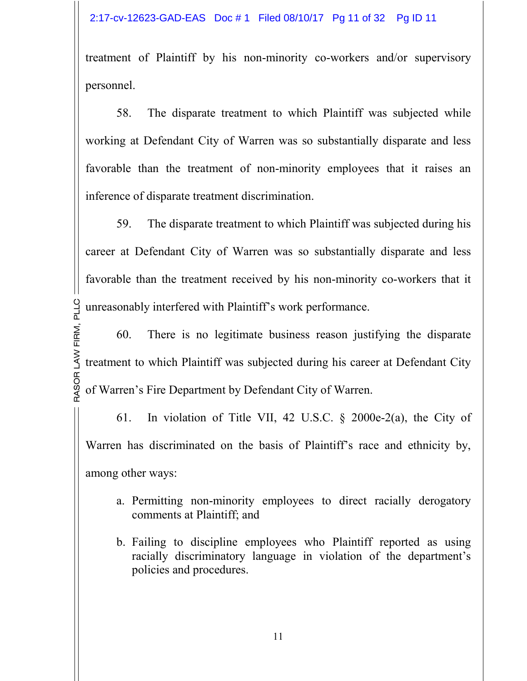treatment of Plaintiff by his non-minority co-workers and/or supervisory personnel.

58. The disparate treatment to which Plaintiff was subjected while working at Defendant City of Warren was so substantially disparate and less favorable than the treatment of non-minority employees that it raises an inference of disparate treatment discrimination.

 unreasonably interfered with Plaintiff's work performance. 59. The disparate treatment to which Plaintiff was subjected during his career at Defendant City of Warren was so substantially disparate and less favorable than the treatment received by his non-minority co-workers that it

RA SOR of Warren's Fire Department by Defendant City of Warren. LA W treatment to which Plaintiff was subjected during his career at Defendant City E<br>E M, P LLC60. There is no legitimate business reason justifying the disparate

61. In violation of Title VII, 42 U.S.C. § 2000e-2(a), the City of Warren has discriminated on the basis of Plaintiff's race and ethnicity by, among other ways:

- a. Permitting non-minority employees to direct racially derogatory comments at Plaintiff; and
- b. Failing to discipline employees who Plaintiff reported as using racially discriminatory language in violation of the department's policies and procedures.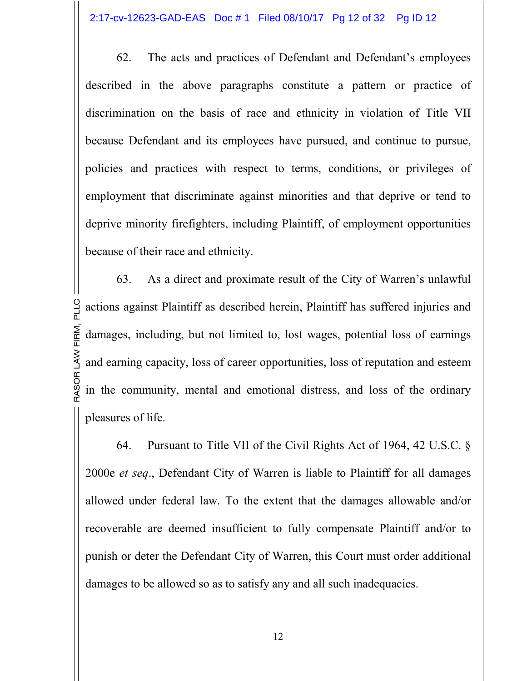62. The acts and practices of Defendant and Defendant's employees described in the above paragraphs constitute a pattern or practice of discrimination on the basis of race and ethnicity in violation of Title VII because Defendant and its employees have pursued, and continue to pursue, policies and practices with respect to terms, conditions, or privileges of employment that discriminate against minorities and that deprive or tend to deprive minority firefighters, including Plaintiff, of employment opportunities because of their race and ethnicity.

RA SOR in the community, mental and emotional distress, and loss of the ordinary LA W and earning capacity, loss of career opportunities, loss of reputation and esteem E<br>E M, P LLC actions against Plaintiff as described herein, Plaintiff has suffered injuries and 63. As a direct and proximate result of the City of Warren's unlawful damages, including, but not limited to, lost wages, potential loss of earnings pleasures of life.

64. Pursuant to Title VII of the Civil Rights Act of 1964, 42 U.S.C. § 2000e *et seq*., Defendant City of Warren is liable to Plaintiff for all damages allowed under federal law. To the extent that the damages allowable and/or recoverable are deemed insufficient to fully compensate Plaintiff and/or to punish or deter the Defendant City of Warren, this Court must order additional damages to be allowed so as to satisfy any and all such inadequacies.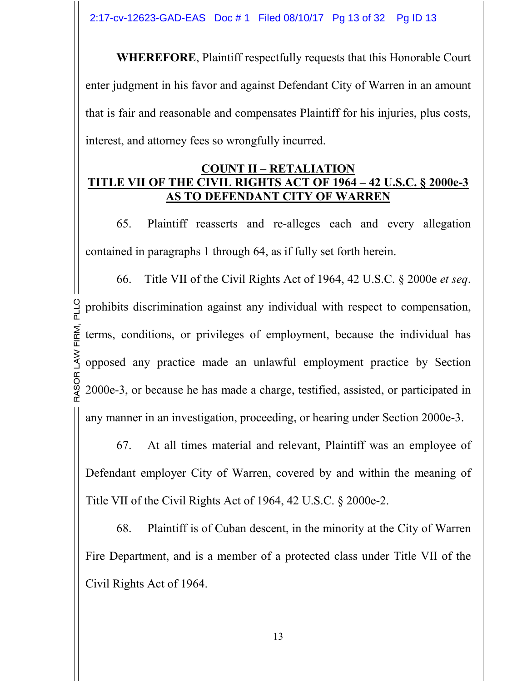**WHEREFORE**, Plaintiff respectfully requests that this Honorable Court enter judgment in his favor and against Defendant City of Warren in an amount that is fair and reasonable and compensates Plaintiff for his injuries, plus costs, interest, and attorney fees so wrongfully incurred.

### **COUNT II – RETALIATION TITLE VII OF THE CIVIL RIGHTS ACT OF 1964 – 42 U.S.C. § 2000e-3 AS TO DEFENDANT CITY OF WARREN**

65. Plaintiff reasserts and re-alleges each and every allegation contained in paragraphs 1 through 64, as if fully set forth herein.

RA SOR 2000e-3, or because he has made a charge, testified, assisted, or participated in LA W opposed any practice made an unlawful employment practice by Section E<br>E n<br>≥ົ LLC prohibits discrimination against any individual with respect to compensation, 66. Title VII of the Civil Rights Act of 1964, 42 U.S.C. § 2000e *et seq*. terms, conditions, or privileges of employment, because the individual has any manner in an investigation, proceeding, or hearing under Section 2000e-3.

67. At all times material and relevant, Plaintiff was an employee of Defendant employer City of Warren, covered by and within the meaning of Title VII of the Civil Rights Act of 1964, 42 U.S.C. § 2000e-2.

68. Plaintiff is of Cuban descent, in the minority at the City of Warren Fire Department, and is a member of a protected class under Title VII of the Civil Rights Act of 1964.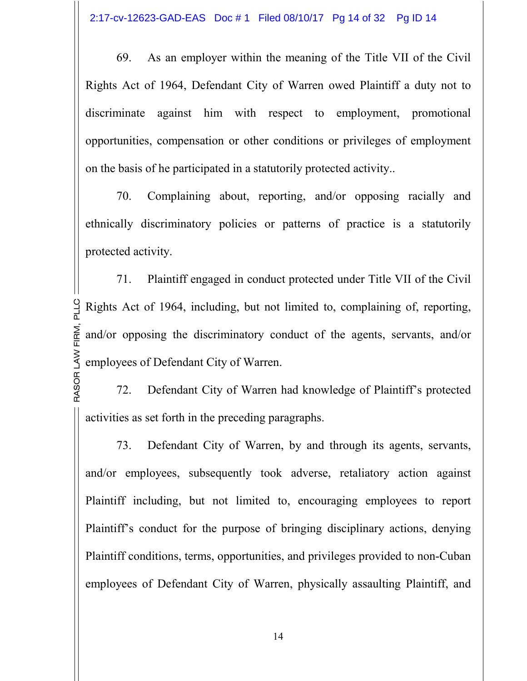69. As an employer within the meaning of the Title VII of the Civil Rights Act of 1964, Defendant City of Warren owed Plaintiff a duty not to discriminate against him with respect to employment, promotional opportunities, compensation or other conditions or privileges of employment on the basis of he participated in a statutorily protected activity..

70. Complaining about, reporting, and/or opposing racially and ethnically discriminatory policies or patterns of practice is a statutorily protected activity.

LA W employees of Defendant City of Warren. E<br>E M, P LLC Rights Act of 1964, including, but not limited to, complaining of, reporting, 71. Plaintiff engaged in conduct protected under Title VII of the Civil and/or opposing the discriminatory conduct of the agents, servants, and/or

RA SOR72. Defendant City of Warren had knowledge of Plaintiff's protected activities as set forth in the preceding paragraphs.

73. Defendant City of Warren, by and through its agents, servants, and/or employees, subsequently took adverse, retaliatory action against Plaintiff including, but not limited to, encouraging employees to report Plaintiff's conduct for the purpose of bringing disciplinary actions, denying Plaintiff conditions, terms, opportunities, and privileges provided to non-Cuban employees of Defendant City of Warren, physically assaulting Plaintiff, and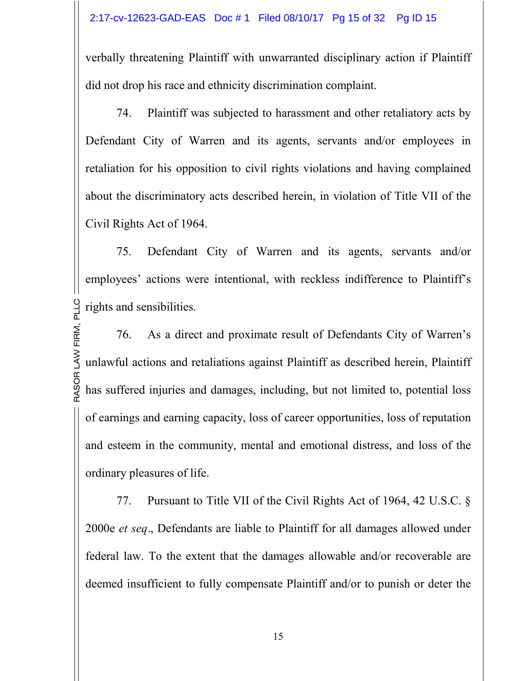verbally threatening Plaintiff with unwarranted disciplinary action if Plaintiff did not drop his race and ethnicity discrimination complaint.

74. Plaintiff was subjected to harassment and other retaliatory acts by Defendant City of Warren and its agents, servants and/or employees in retaliation for his opposition to civil rights violations and having complained about the discriminatory acts described herein, in violation of Title VII of the Civil Rights Act of 1964.

M, P LLC rights and sensibilities. 75. Defendant City of Warren and its agents, servants and/or employees' actions were intentional, with reckless indifference to Plaintiff's

RA SOR has suffered injuries and damages, including, but not limited to, potential loss LA W unlawful actions and retaliations against Plaintiff as described herein, Plaintiff E<br>E 76. As a direct and proximate result of Defendants City of Warren's of earnings and earning capacity, loss of career opportunities, loss of reputation and esteem in the community, mental and emotional distress, and loss of the ordinary pleasures of life.

77. Pursuant to Title VII of the Civil Rights Act of 1964, 42 U.S.C. § 2000e *et seq*., Defendants are liable to Plaintiff for all damages allowed under federal law. To the extent that the damages allowable and/or recoverable are deemed insufficient to fully compensate Plaintiff and/or to punish or deter the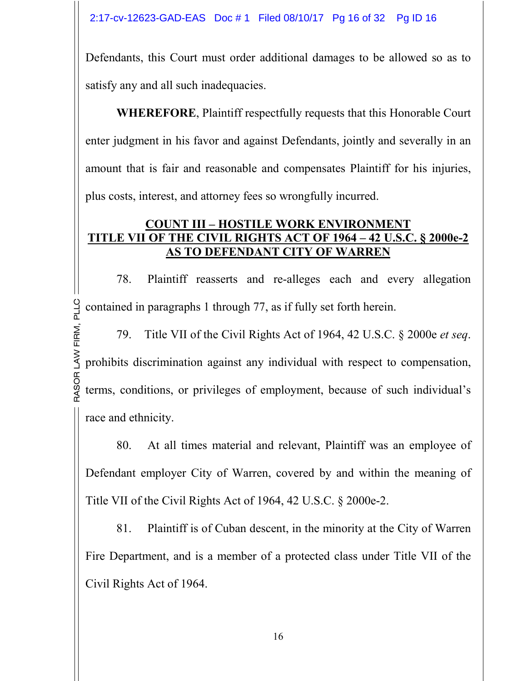Defendants, this Court must order additional damages to be allowed so as to satisfy any and all such inadequacies.

**WHEREFORE**, Plaintiff respectfully requests that this Honorable Court enter judgment in his favor and against Defendants, jointly and severally in an amount that is fair and reasonable and compensates Plaintiff for his injuries, plus costs, interest, and attorney fees so wrongfully incurred.

## **COUNT III – HOSTILE WORK ENVIRONMENT TITLE VII OF THE CIVIL RIGHTS ACT OF 1964 – 42 U.S.C. § 2000e-2 AS TO DEFENDANT CITY OF WARREN**

M, P LLC contained in paragraphs 1 through 77, as if fully set forth herein. 78. Plaintiff reasserts and re-alleges each and every allegation

RA SOR terms, conditions, or privileges of employment, because of such individual's LA W prohibits discrimination against any individual with respect to compensation, E<br>E 79. Title VII of the Civil Rights Act of 1964, 42 U.S.C. § 2000e *et seq*. race and ethnicity.

80. At all times material and relevant, Plaintiff was an employee of Defendant employer City of Warren, covered by and within the meaning of Title VII of the Civil Rights Act of 1964, 42 U.S.C. § 2000e-2.

81. Plaintiff is of Cuban descent, in the minority at the City of Warren Fire Department, and is a member of a protected class under Title VII of the Civil Rights Act of 1964.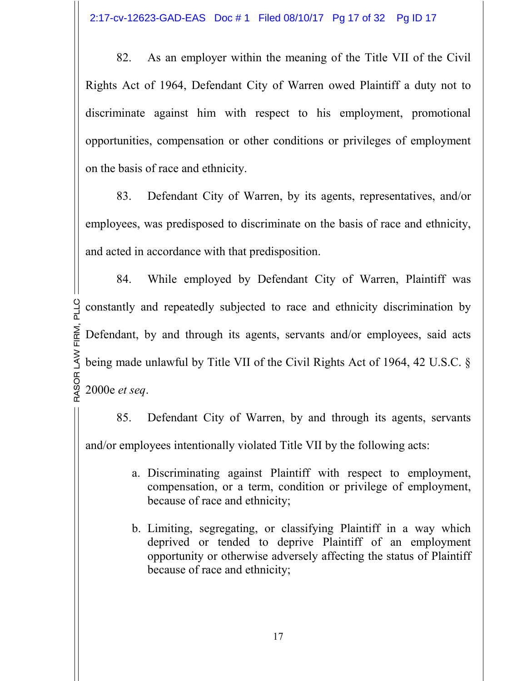82. As an employer within the meaning of the Title VII of the Civil Rights Act of 1964, Defendant City of Warren owed Plaintiff a duty not to discriminate against him with respect to his employment, promotional opportunities, compensation or other conditions or privileges of employment on the basis of race and ethnicity.

83. Defendant City of Warren, by its agents, representatives, and/or employees, was predisposed to discriminate on the basis of race and ethnicity, and acted in accordance with that predisposition.

RA SOR 2000e *et seq*. LA W being made unlawful by Title VII of the Civil Rights Act of 1964, 42 U.S.C. § E<br>E n<br>≥ົ LLC constantly and repeatedly subjected to race and ethnicity discrimination by 84. While employed by Defendant City of Warren, Plaintiff was Defendant, by and through its agents, servants and/or employees, said acts

85. Defendant City of Warren, by and through its agents, servants and/or employees intentionally violated Title VII by the following acts:

- a. Discriminating against Plaintiff with respect to employment, compensation, or a term, condition or privilege of employment, because of race and ethnicity;
- b. Limiting, segregating, or classifying Plaintiff in a way which deprived or tended to deprive Plaintiff of an employment opportunity or otherwise adversely affecting the status of Plaintiff because of race and ethnicity;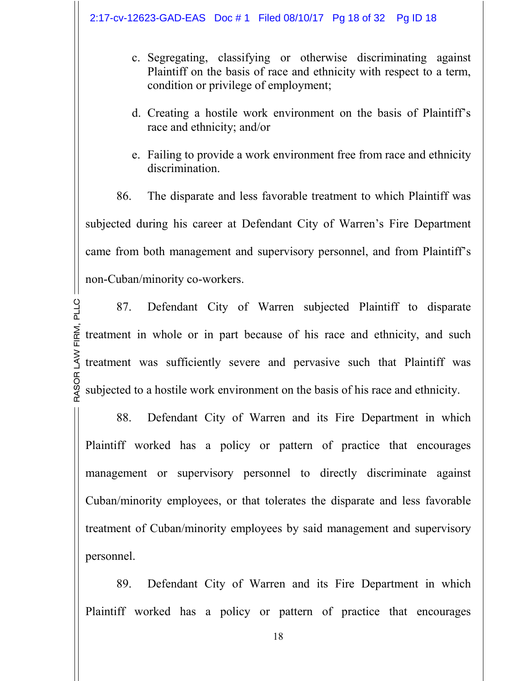#### 2:17-cv-12623-GAD-EAS Doc # 1 Filed 08/10/17 Pg 18 of 32 Pg ID 18

- c. Segregating, classifying or otherwise discriminating against Plaintiff on the basis of race and ethnicity with respect to a term, condition or privilege of employment;
- d. Creating a hostile work environment on the basis of Plaintiff's race and ethnicity; and/or
- e. Failing to provide a work environment free from race and ethnicity discrimination.

86. The disparate and less favorable treatment to which Plaintiff was subjected during his career at Defendant City of Warren's Fire Department came from both management and supervisory personnel, and from Plaintiff's non-Cuban/minority co-workers.

RA SOR subjected to a hostile work environment on the basis of his race and ethnicity. LA W treatment was sufficiently severe and pervasive such that Plaintiff was E<br>E n<br>≥ົ LLC87. Defendant City of Warren subjected Plaintiff to disparate treatment in whole or in part because of his race and ethnicity, and such

88. Defendant City of Warren and its Fire Department in which Plaintiff worked has a policy or pattern of practice that encourages management or supervisory personnel to directly discriminate against Cuban/minority employees, or that tolerates the disparate and less favorable treatment of Cuban/minority employees by said management and supervisory personnel.

89. Defendant City of Warren and its Fire Department in which Plaintiff worked has a policy or pattern of practice that encourages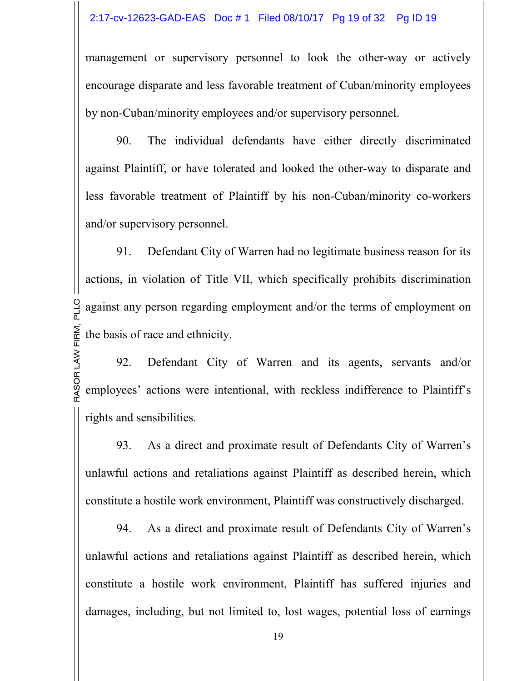#### 2:17-cv-12623-GAD-EAS Doc # 1 Filed 08/10/17 Pg 19 of 32 Pg ID 19

management or supervisory personnel to look the other-way or actively encourage disparate and less favorable treatment of Cuban/minority employees by non-Cuban/minority employees and/or supervisory personnel.

90. The individual defendants have either directly discriminated against Plaintiff, or have tolerated and looked the other-way to disparate and less favorable treatment of Plaintiff by his non-Cuban/minority co-workers and/or supervisory personnel.

E<br>E n<br>≥ົ against any person regarding employment and/or the terms of employment on 91. Defendant City of Warren had no legitimate business reason for its actions, in violation of Title VII, which specifically prohibits discrimination the basis of race and ethnicity.

LLC

RA SOR employees' actions were intentional, with reckless indifference to Plaintiff's LA W92. Defendant City of Warren and its agents, servants and/or rights and sensibilities.

93. As a direct and proximate result of Defendants City of Warren's unlawful actions and retaliations against Plaintiff as described herein, which constitute a hostile work environment, Plaintiff was constructively discharged.

94. As a direct and proximate result of Defendants City of Warren's unlawful actions and retaliations against Plaintiff as described herein, which constitute a hostile work environment, Plaintiff has suffered injuries and damages, including, but not limited to, lost wages, potential loss of earnings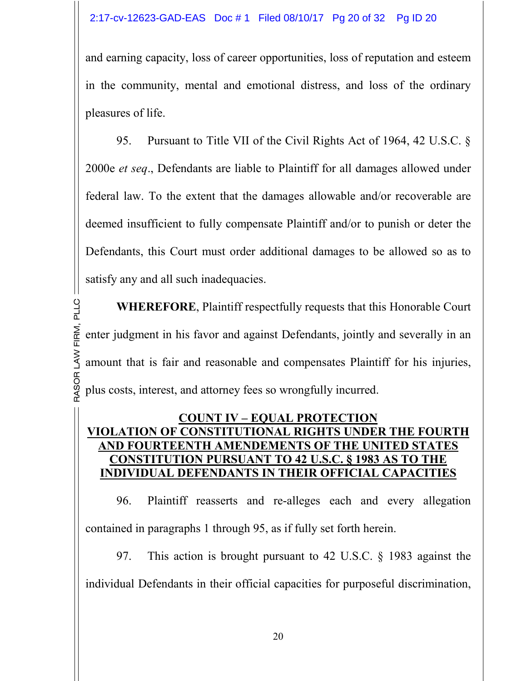and earning capacity, loss of career opportunities, loss of reputation and esteem in the community, mental and emotional distress, and loss of the ordinary pleasures of life.

95. Pursuant to Title VII of the Civil Rights Act of 1964, 42 U.S.C. § 2000e *et seq*., Defendants are liable to Plaintiff for all damages allowed under federal law. To the extent that the damages allowable and/or recoverable are deemed insufficient to fully compensate Plaintiff and/or to punish or deter the Defendants, this Court must order additional damages to be allowed so as to satisfy any and all such inadequacies.

RA SOR plus costs, interest, and attorney fees so wrongfully incurred. LA W amount that is fair and reasonable and compensates Plaintiff for his injuries, E<br>E n<br>≥ົ LLC**WHEREFORE**, Plaintiff respectfully requests that this Honorable Court enter judgment in his favor and against Defendants, jointly and severally in an

### **COUNT IV – EQUAL PROTECTION VIOLATION OF CONSTITUTIONAL RIGHTS UNDER THE FOURTH AND FOURTEENTH AMENDEMENTS OF THE UNITED STATES CONSTITUTION PURSUANT TO 42 U.S.C. § 1983 AS TO THE INDIVIDUAL DEFENDANTS IN THEIR OFFICIAL CAPACITIES**

96. Plaintiff reasserts and re-alleges each and every allegation contained in paragraphs 1 through 95, as if fully set forth herein.

97. This action is brought pursuant to 42 U.S.C. § 1983 against the individual Defendants in their official capacities for purposeful discrimination,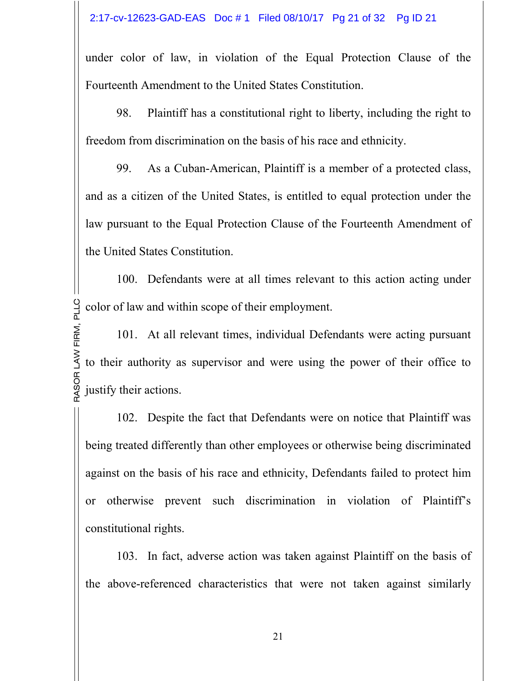under color of law, in violation of the Equal Protection Clause of the Fourteenth Amendment to the United States Constitution.

98. Plaintiff has a constitutional right to liberty, including the right to freedom from discrimination on the basis of his race and ethnicity.

99. As a Cuban-American, Plaintiff is a member of a protected class, and as a citizen of the United States, is entitled to equal protection under the law pursuant to the Equal Protection Clause of the Fourteenth Amendment of the United States Constitution.

M, P LLC color of law and within scope of their employment. 100. Defendants were at all times relevant to this action acting under

RA SOR justify their actions. LA W to their authority as supervisor and were using the power of their office to E<br>E 101. At all relevant times, individual Defendants were acting pursuant

102. Despite the fact that Defendants were on notice that Plaintiff was being treated differently than other employees or otherwise being discriminated against on the basis of his race and ethnicity, Defendants failed to protect him or otherwise prevent such discrimination in violation of Plaintiff's constitutional rights.

103. In fact, adverse action was taken against Plaintiff on the basis of the above-referenced characteristics that were not taken against similarly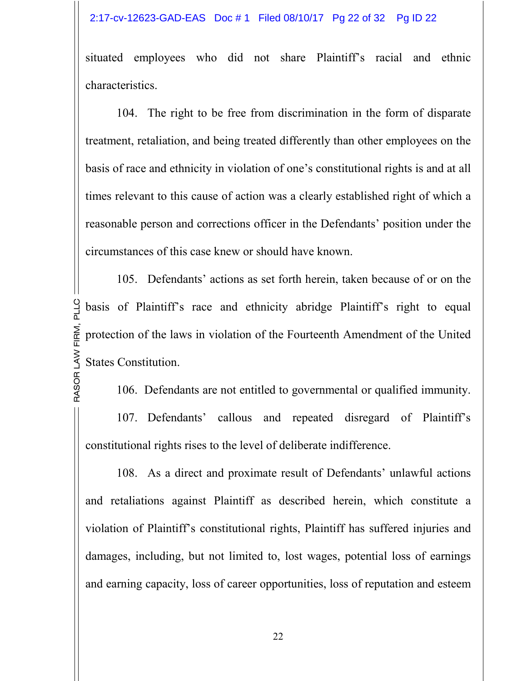### 2:17-cv-12623-GAD-EAS Doc # 1 Filed 08/10/17 Pg 22 of 32 Pg ID 22

situated employees who did not share Plaintiff's racial and ethnic characteristics.

104. The right to be free from discrimination in the form of disparate treatment, retaliation, and being treated differently than other employees on the basis of race and ethnicity in violation of one's constitutional rights is and at all times relevant to this cause of action was a clearly established right of which a reasonable person and corrections officer in the Defendants' position under the circumstances of this case knew or should have known.

LA W States Constitution.  $\widetilde{\mathbb{E}}$  . n<br>≥ົ LLC basis of Plaintiff's race and ethnicity abridge Plaintiff's right to equal 105. Defendants' actions as set forth herein, taken because of or on the protection of the laws in violation of the Fourteenth Amendment of the United

106. Defendants are not entitled to governmental or qualified immunity.

107. Defendants' callous and repeated disregard of Plaintiff's constitutional rights rises to the level of deliberate indifference.

RA SOR

108. As a direct and proximate result of Defendants' unlawful actions and retaliations against Plaintiff as described herein, which constitute a violation of Plaintiff's constitutional rights, Plaintiff has suffered injuries and damages, including, but not limited to, lost wages, potential loss of earnings and earning capacity, loss of career opportunities, loss of reputation and esteem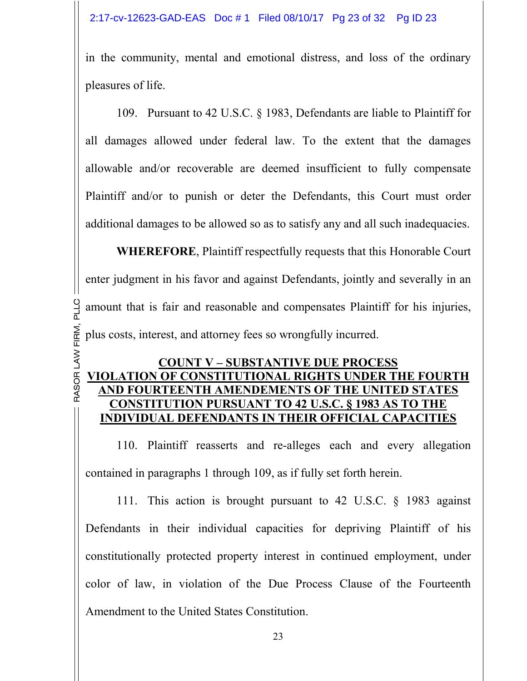in the community, mental and emotional distress, and loss of the ordinary pleasures of life.

109. Pursuant to 42 U.S.C. § 1983, Defendants are liable to Plaintiff for all damages allowed under federal law. To the extent that the damages allowable and/or recoverable are deemed insufficient to fully compensate Plaintiff and/or to punish or deter the Defendants, this Court must order additional damages to be allowed so as to satisfy any and all such inadequacies.

 $\widetilde{\mathbb{E}}$  . n<br>≥ົ amount that is fair and reasonable and compensates Plaintiff for his injuries, **WHEREFORE**, Plaintiff respectfully requests that this Honorable Court enter judgment in his favor and against Defendants, jointly and severally in an plus costs, interest, and attorney fees so wrongfully incurred.

LLC

#### RA SOR **VIOLATION OF CONSTITUTIONAL RIGHTS UNDER THE FOURTH**  LA W**COUNT V – SUBSTANTIVE DUE PROCESS AND FOURTEENTH AMENDEMENTS OF THE UNITED STATES CONSTITUTION PURSUANT TO 42 U.S.C. § 1983 AS TO THE INDIVIDUAL DEFENDANTS IN THEIR OFFICIAL CAPACITIES**

110. Plaintiff reasserts and re-alleges each and every allegation contained in paragraphs 1 through 109, as if fully set forth herein.

111. This action is brought pursuant to 42 U.S.C. § 1983 against Defendants in their individual capacities for depriving Plaintiff of his constitutionally protected property interest in continued employment, under color of law, in violation of the Due Process Clause of the Fourteenth Amendment to the United States Constitution.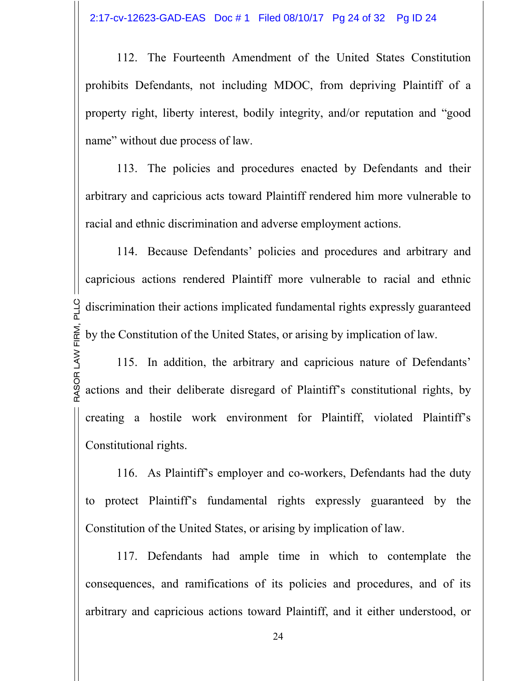112. The Fourteenth Amendment of the United States Constitution prohibits Defendants, not including MDOC, from depriving Plaintiff of a property right, liberty interest, bodily integrity, and/or reputation and "good name" without due process of law.

113. The policies and procedures enacted by Defendants and their arbitrary and capricious acts toward Plaintiff rendered him more vulnerable to racial and ethnic discrimination and adverse employment actions.

E<br>E n<br>≥ົ discrimination their actions implicated fundamental rights expressly guaranteed 114. Because Defendants' policies and procedures and arbitrary and capricious actions rendered Plaintiff more vulnerable to racial and ethnic by the Constitution of the United States, or arising by implication of law.

LLC

RA SOR actions and their deliberate disregard of Plaintiff's constitutional rights, by LA W115. In addition, the arbitrary and capricious nature of Defendants' creating a hostile work environment for Plaintiff, violated Plaintiff's Constitutional rights.

116. As Plaintiff's employer and co-workers, Defendants had the duty to protect Plaintiff's fundamental rights expressly guaranteed by the Constitution of the United States, or arising by implication of law.

117. Defendants had ample time in which to contemplate the consequences, and ramifications of its policies and procedures, and of its arbitrary and capricious actions toward Plaintiff, and it either understood, or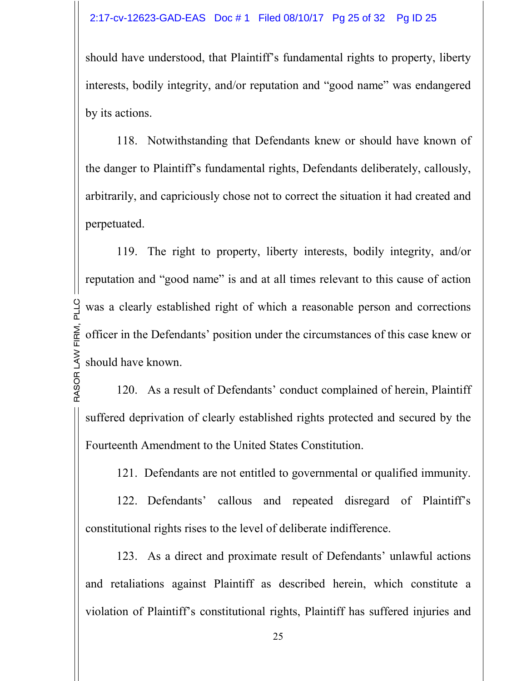should have understood, that Plaintiff's fundamental rights to property, liberty interests, bodily integrity, and/or reputation and "good name" was endangered by its actions.

118. Notwithstanding that Defendants knew or should have known of the danger to Plaintiff's fundamental rights, Defendants deliberately, callously, arbitrarily, and capriciously chose not to correct the situation it had created and perpetuated.

LA W should have known. E<br>E n<br>≥ົ was a clearly established right of which a reasonable person and corrections 119. The right to property, liberty interests, bodily integrity, and/or reputation and "good name" is and at all times relevant to this cause of action officer in the Defendants' position under the circumstances of this case knew or

LLC

RA SOR120. As a result of Defendants' conduct complained of herein, Plaintiff suffered deprivation of clearly established rights protected and secured by the Fourteenth Amendment to the United States Constitution.

121. Defendants are not entitled to governmental or qualified immunity.

122. Defendants' callous and repeated disregard of Plaintiff's constitutional rights rises to the level of deliberate indifference.

123. As a direct and proximate result of Defendants' unlawful actions and retaliations against Plaintiff as described herein, which constitute a violation of Plaintiff's constitutional rights, Plaintiff has suffered injuries and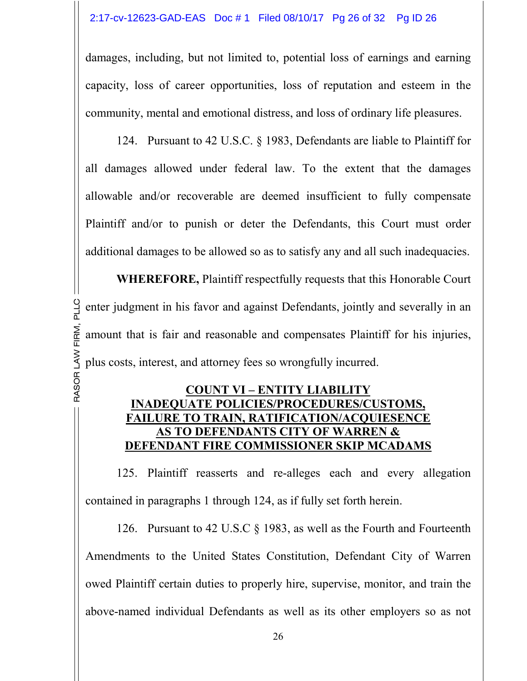damages, including, but not limited to, potential loss of earnings and earning capacity, loss of career opportunities, loss of reputation and esteem in the community, mental and emotional distress, and loss of ordinary life pleasures.

124. Pursuant to 42 U.S.C. § 1983, Defendants are liable to Plaintiff for all damages allowed under federal law. To the extent that the damages allowable and/or recoverable are deemed insufficient to fully compensate Plaintiff and/or to punish or deter the Defendants, this Court must order additional damages to be allowed so as to satisfy any and all such inadequacies.

LA W plus costs, interest, and attorney fees so wrongfully incurred. E<br>E n<br>≥ົ enter judgment in his favor and against Defendants, jointly and severally in an **WHEREFORE,** Plaintiff respectfully requests that this Honorable Court amount that is fair and reasonable and compensates Plaintiff for his injuries,

### **COUNT VI – ENTITY LIABILITY INADEQUATE POLICIES/PROCEDURES/CUSTOMS, FAILURE TO TRAIN, RATIFICATION/ACQUIESENCE AS TO DEFENDANTS CITY OF WARREN & DEFENDANT FIRE COMMISSIONER SKIP MCADAMS**

RA SOR

LLC

125. Plaintiff reasserts and re-alleges each and every allegation contained in paragraphs 1 through 124, as if fully set forth herein.

126. Pursuant to 42 U.S.C § 1983, as well as the Fourth and Fourteenth Amendments to the United States Constitution, Defendant City of Warren owed Plaintiff certain duties to properly hire, supervise, monitor, and train the above-named individual Defendants as well as its other employers so as not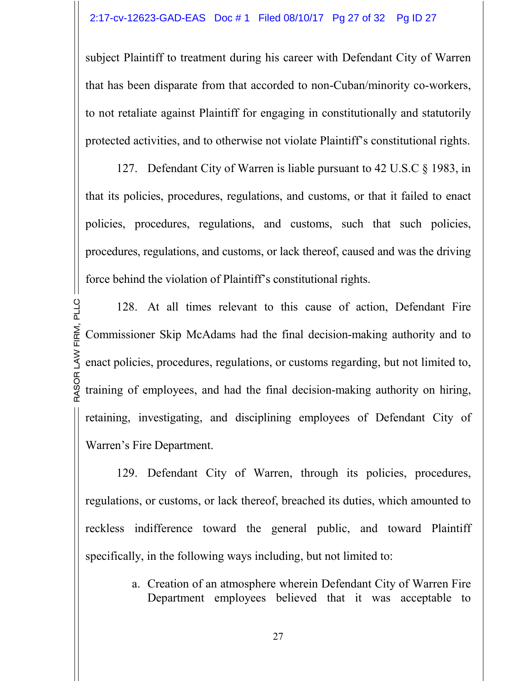subject Plaintiff to treatment during his career with Defendant City of Warren that has been disparate from that accorded to non-Cuban/minority co-workers, to not retaliate against Plaintiff for engaging in constitutionally and statutorily protected activities, and to otherwise not violate Plaintiff's constitutional rights.

127. Defendant City of Warren is liable pursuant to 42 U.S.C § 1983, in that its policies, procedures, regulations, and customs, or that it failed to enact policies, procedures, regulations, and customs, such that such policies, procedures, regulations, and customs, or lack thereof, caused and was the driving force behind the violation of Plaintiff's constitutional rights.

RA SOR training of employees, and had the final decision-making authority on hiring, LA W enact policies, procedures, regulations, or customs regarding, but not limited to, E<br>E n<br>≥ົ LLC128. At all times relevant to this cause of action, Defendant Fire Commissioner Skip McAdams had the final decision-making authority and to retaining, investigating, and disciplining employees of Defendant City of Warren's Fire Department.

129. Defendant City of Warren, through its policies, procedures, regulations, or customs, or lack thereof, breached its duties, which amounted to reckless indifference toward the general public, and toward Plaintiff specifically, in the following ways including, but not limited to:

> a. Creation of an atmosphere wherein Defendant City of Warren Fire Department employees believed that it was acceptable to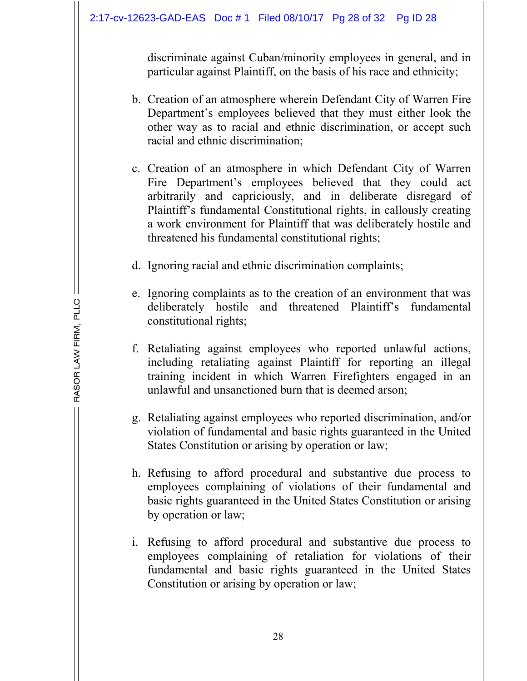discriminate against Cuban/minority employees in general, and in particular against Plaintiff, on the basis of his race and ethnicity;

- b. Creation of an atmosphere wherein Defendant City of Warren Fire Department's employees believed that they must either look the other way as to racial and ethnic discrimination, or accept such racial and ethnic discrimination;
- c. Creation of an atmosphere in which Defendant City of Warren Fire Department's employees believed that they could act arbitrarily and capriciously, and in deliberate disregard of Plaintiff's fundamental Constitutional rights, in callously creating a work environment for Plaintiff that was deliberately hostile and threatened his fundamental constitutional rights;
- d. Ignoring racial and ethnic discrimination complaints;
- e. Ignoring complaints as to the creation of an environment that was deliberately hostile and threatened Plaintiff's fundamental constitutional rights;
- f. Retaliating against employees who reported unlawful actions, including retaliating against Plaintiff for reporting an illegal training incident in which Warren Firefighters engaged in an unlawful and unsanctioned burn that is deemed arson;
- g. Retaliating against employees who reported discrimination, and/or violation of fundamental and basic rights guaranteed in the United States Constitution or arising by operation or law;
- h. Refusing to afford procedural and substantive due process to employees complaining of violations of their fundamental and basic rights guaranteed in the United States Constitution or arising by operation or law;
- i. Refusing to afford procedural and substantive due process to employees complaining of retaliation for violations of their fundamental and basic rights guaranteed in the United States Constitution or arising by operation or law;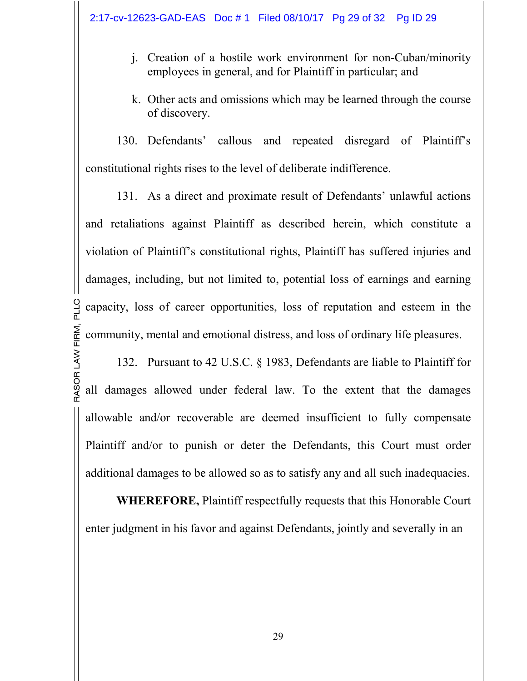- j. Creation of a hostile work environment for non-Cuban/minority employees in general, and for Plaintiff in particular; and
- k. Other acts and omissions which may be learned through the course of discovery.

130. Defendants' callous and repeated disregard of Plaintiff's constitutional rights rises to the level of deliberate indifference.

E<br>E n<br>≥ົ capacity, loss of career opportunities, loss of reputation and esteem in the 131. As a direct and proximate result of Defendants' unlawful actions and retaliations against Plaintiff as described herein, which constitute a violation of Plaintiff's constitutional rights, Plaintiff has suffered injuries and damages, including, but not limited to, potential loss of earnings and earning community, mental and emotional distress, and loss of ordinary life pleasures.

LLC

RA SOR all damages allowed under federal law. To the extent that the damages LA W132. Pursuant to 42 U.S.C. § 1983, Defendants are liable to Plaintiff for allowable and/or recoverable are deemed insufficient to fully compensate Plaintiff and/or to punish or deter the Defendants, this Court must order additional damages to be allowed so as to satisfy any and all such inadequacies.

**WHEREFORE,** Plaintiff respectfully requests that this Honorable Court enter judgment in his favor and against Defendants, jointly and severally in an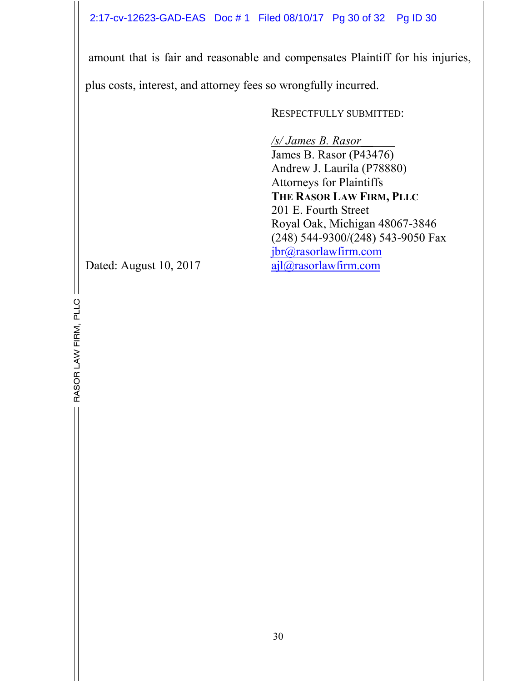2:17-cv-12623-GAD-EAS Doc # 1 Filed 08/10/17 Pg 30 of 32 Pg ID 30

 amount that is fair and reasonable and compensates Plaintiff for his injuries, plus costs, interest, and attorney fees so wrongfully incurred.

RESPECTFULLY SUBMITTED:

*/s/ James B. Rasor\_\_*  James B. Rasor (P43476) Andrew J. Laurila (P78880) Attorneys for Plaintiffs **THE RASOR LAW FIRM, PLLC** 201 E. Fourth Street Royal Oak, Michigan 48067-3846 (248) 544-9300/(248) 543-9050 Fax jbr@rasorlawfirm.com Dated: August 10, 2017 ajl@rasorlawfirm.com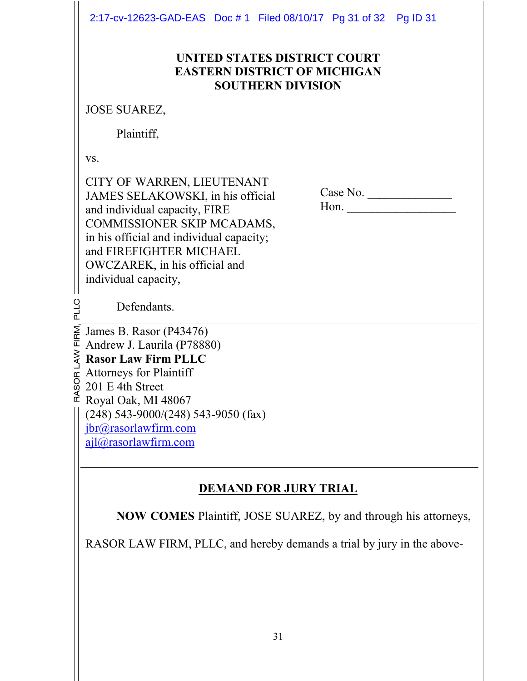2:17-cv-12623-GAD-EAS Doc # 1 Filed 08/10/17 Pg 31 of 32 Pg ID 31

### **UNITED STATES DISTRICT COURT EASTERN DISTRICT OF MICHIGAN SOUTHERN DIVISION**

JOSE SUAREZ,

Plaintiff,

vs.

LLC

CITY OF WARREN, LIEUTENANT JAMES SELAKOWSKI, in his official and individual capacity, FIRE COMMISSIONER SKIP MCADAMS, in his official and individual capacity; and FIREFIGHTER MICHAEL OWCZAREK, in his official and individual capacity,

 Case No. \_\_\_\_\_\_\_\_\_\_\_\_\_\_ Hon. \_\_\_\_\_\_\_\_\_\_\_\_\_\_\_\_\_\_

Defendants.

 $\vec{c}$  Royal Oak, MI 48067 A S o, rg.  $\sum_{i=1}^{n}$ E<br>E  $\sum_{R}$  James B. Rasor (P43476) Andrew J. Laurila (P78880) **Rasor Law Firm PLLC**  Attorneys for Plaintiff 201 E 4th Street (248) 543-9000/(248) 543-9050 (fax) jbr@rasorlawfirm.com ajl@rasorlawfirm.com

# **DEMAND FOR JURY TRIAL**

**NOW COMES** Plaintiff, JOSE SUAREZ, by and through his attorneys,

RASOR LAW FIRM, PLLC, and hereby demands a trial by jury in the above-